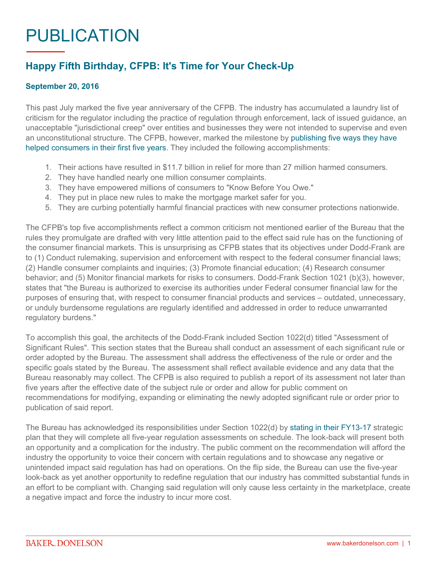## PUBLICATION

## **Happy Fifth Birthday, CFPB: It's Time for Your Check-Up**

## **September 20, 2016**

This past July marked the five year anniversary of the CFPB. The industry has accumulated a laundry list of criticism for the regulator including the practice of regulation through enforcement, lack of issued guidance, an unacceptable "jurisdictional creep" over entities and businesses they were not intended to supervise and even an unconstitutional structure. The CFPB, however, marked the milestone by [publishing five ways they have](http://www.consumerfinance.gov/about-us/blog/consumers-count-five-years-standing-you/)  [helped consumers in their first five years.](http://www.consumerfinance.gov/about-us/blog/consumers-count-five-years-standing-you/) They included the following accomplishments:

- 1. Their actions have resulted in \$11.7 billion in relief for more than 27 million harmed consumers.
- 2. They have handled nearly one million consumer complaints.
- 3. They have empowered millions of consumers to "Know Before You Owe."
- 4. They put in place new rules to make the mortgage market safer for you.
- 5. They are curbing potentially harmful financial practices with new consumer protections nationwide.

The CFPB's top five accomplishments reflect a common criticism not mentioned earlier of the Bureau that the rules they promulgate are drafted with very little attention paid to the effect said rule has on the functioning of the consumer financial markets. This is unsurprising as CFPB states that its objectives under Dodd-Frank are to (1) Conduct rulemaking, supervision and enforcement with respect to the federal consumer financial laws; (2) Handle consumer complaints and inquiries; (3) Promote financial education; (4) Research consumer behavior; and (5) Monitor financial markets for risks to consumers. Dodd-Frank Section 1021 (b)(3), however, states that "the Bureau is authorized to exercise its authorities under Federal consumer financial law for the purposes of ensuring that, with respect to consumer financial products and services – outdated, unnecessary, or unduly burdensome regulations are regularly identified and addressed in order to reduce unwarranted regulatory burdens."

To accomplish this goal, the architects of the Dodd-Frank included Section 1022(d) titled "Assessment of Significant Rules". This section states that the Bureau shall conduct an assessment of each significant rule or order adopted by the Bureau. The assessment shall address the effectiveness of the rule or order and the specific goals stated by the Bureau. The assessment shall reflect available evidence and any data that the Bureau reasonably may collect. The CFPB is also required to publish a report of its assessment not later than five years after the effective date of the subject rule or order and allow for public comment on recommendations for modifying, expanding or eliminating the newly adopted significant rule or order prior to publication of said report.

The Bureau has acknowledged its responsibilities under Section 1022(d) by [stating in their FY13-17](http://www.consumerfinance.gov/strategic-plan/#goal1) strategic plan that they will complete all five-year regulation assessments on schedule. The look-back will present both an opportunity and a complication for the industry. The public comment on the recommendation will afford the industry the opportunity to voice their concern with certain regulations and to showcase any negative or unintended impact said regulation has had on operations. On the flip side, the Bureau can use the five-year look-back as yet another opportunity to redefine regulation that our industry has committed substantial funds in an effort to be compliant with. Changing said regulation will only cause less certainty in the marketplace, create a negative impact and force the industry to incur more cost.